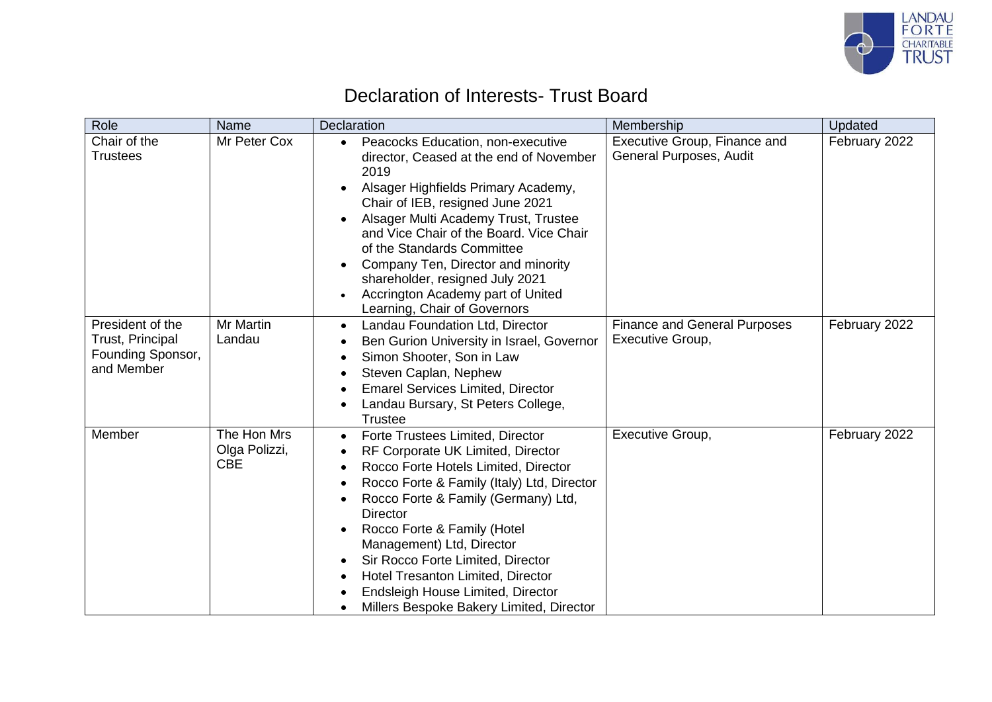

### Declaration of Interests- Trust Board

| Role                                                                    | Name                                       | <b>Declaration</b>                                                                                                                                                                                                                                                                                                                                                                                                                                                                                      | Membership                                              | Updated       |
|-------------------------------------------------------------------------|--------------------------------------------|---------------------------------------------------------------------------------------------------------------------------------------------------------------------------------------------------------------------------------------------------------------------------------------------------------------------------------------------------------------------------------------------------------------------------------------------------------------------------------------------------------|---------------------------------------------------------|---------------|
| Chair of the<br><b>Trustees</b>                                         | Mr Peter Cox                               | Peacocks Education, non-executive<br>$\bullet$<br>director, Ceased at the end of November<br>2019<br>Alsager Highfields Primary Academy,<br>Chair of IEB, resigned June 2021<br>Alsager Multi Academy Trust, Trustee<br>and Vice Chair of the Board. Vice Chair<br>of the Standards Committee<br>Company Ten, Director and minority<br>$\bullet$<br>shareholder, resigned July 2021<br>Accrington Academy part of United<br>Learning, Chair of Governors                                                | Executive Group, Finance and<br>General Purposes, Audit | February 2022 |
| President of the<br>Trust, Principal<br>Founding Sponsor,<br>and Member | Mr Martin<br>Landau                        | Landau Foundation Ltd, Director<br>$\bullet$<br>Ben Gurion University in Israel, Governor<br>Simon Shooter, Son in Law<br>Steven Caplan, Nephew<br><b>Emarel Services Limited, Director</b><br>Landau Bursary, St Peters College,<br><b>Trustee</b>                                                                                                                                                                                                                                                     | <b>Finance and General Purposes</b><br>Executive Group, | February 2022 |
| Member                                                                  | The Hon Mrs<br>Olga Polizzi,<br><b>CBE</b> | Forte Trustees Limited, Director<br>$\bullet$<br>RF Corporate UK Limited, Director<br>Rocco Forte Hotels Limited, Director<br>$\bullet$<br>Rocco Forte & Family (Italy) Ltd, Director<br>Rocco Forte & Family (Germany) Ltd,<br>$\bullet$<br><b>Director</b><br>Rocco Forte & Family (Hotel<br>Management) Ltd, Director<br>Sir Rocco Forte Limited, Director<br>$\bullet$<br><b>Hotel Tresanton Limited, Director</b><br>Endsleigh House Limited, Director<br>Millers Bespoke Bakery Limited, Director | Executive Group,                                        | February 2022 |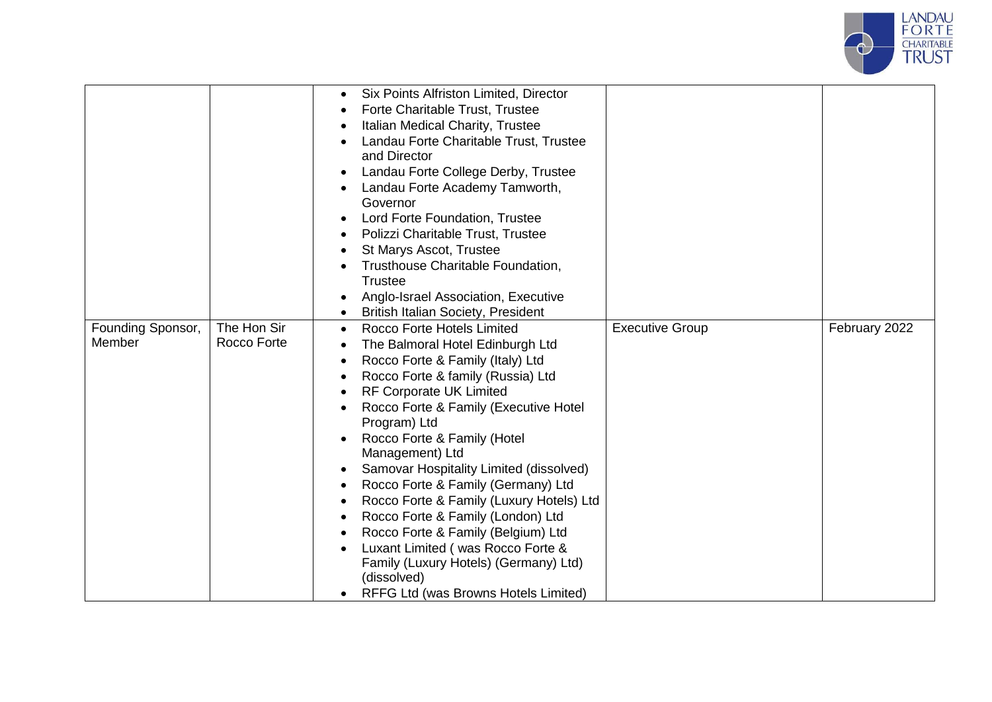

|                             |                            | Six Points Alfriston Limited, Director<br>$\bullet$<br>Forte Charitable Trust, Trustee<br>$\bullet$<br>Italian Medical Charity, Trustee<br>$\bullet$<br>Landau Forte Charitable Trust, Trustee<br>and Director<br>Landau Forte College Derby, Trustee<br>$\bullet$<br>Landau Forte Academy Tamworth,<br>Governor<br>Lord Forte Foundation, Trustee<br>Polizzi Charitable Trust, Trustee<br>St Marys Ascot, Trustee<br>$\bullet$<br>Trusthouse Charitable Foundation,<br><b>Trustee</b><br>Anglo-Israel Association, Executive<br><b>British Italian Society, President</b>                                                                                                                                                                                                             |                        |               |
|-----------------------------|----------------------------|----------------------------------------------------------------------------------------------------------------------------------------------------------------------------------------------------------------------------------------------------------------------------------------------------------------------------------------------------------------------------------------------------------------------------------------------------------------------------------------------------------------------------------------------------------------------------------------------------------------------------------------------------------------------------------------------------------------------------------------------------------------------------------------|------------------------|---------------|
| Founding Sponsor,<br>Member | The Hon Sir<br>Rocco Forte | Rocco Forte Hotels Limited<br>$\bullet$<br>The Balmoral Hotel Edinburgh Ltd<br>$\bullet$<br>Rocco Forte & Family (Italy) Ltd<br>$\bullet$<br>Rocco Forte & family (Russia) Ltd<br>$\bullet$<br>RF Corporate UK Limited<br>$\bullet$<br>Rocco Forte & Family (Executive Hotel<br>Program) Ltd<br>Rocco Forte & Family (Hotel<br>$\bullet$<br>Management) Ltd<br>Samovar Hospitality Limited (dissolved)<br>$\bullet$<br>Rocco Forte & Family (Germany) Ltd<br>$\bullet$<br>Rocco Forte & Family (Luxury Hotels) Ltd<br>$\bullet$<br>Rocco Forte & Family (London) Ltd<br>$\bullet$<br>Rocco Forte & Family (Belgium) Ltd<br>$\bullet$<br>Luxant Limited (was Rocco Forte &<br>Family (Luxury Hotels) (Germany) Ltd)<br>(dissolved)<br>RFFG Ltd (was Browns Hotels Limited)<br>$\bullet$ | <b>Executive Group</b> | February 2022 |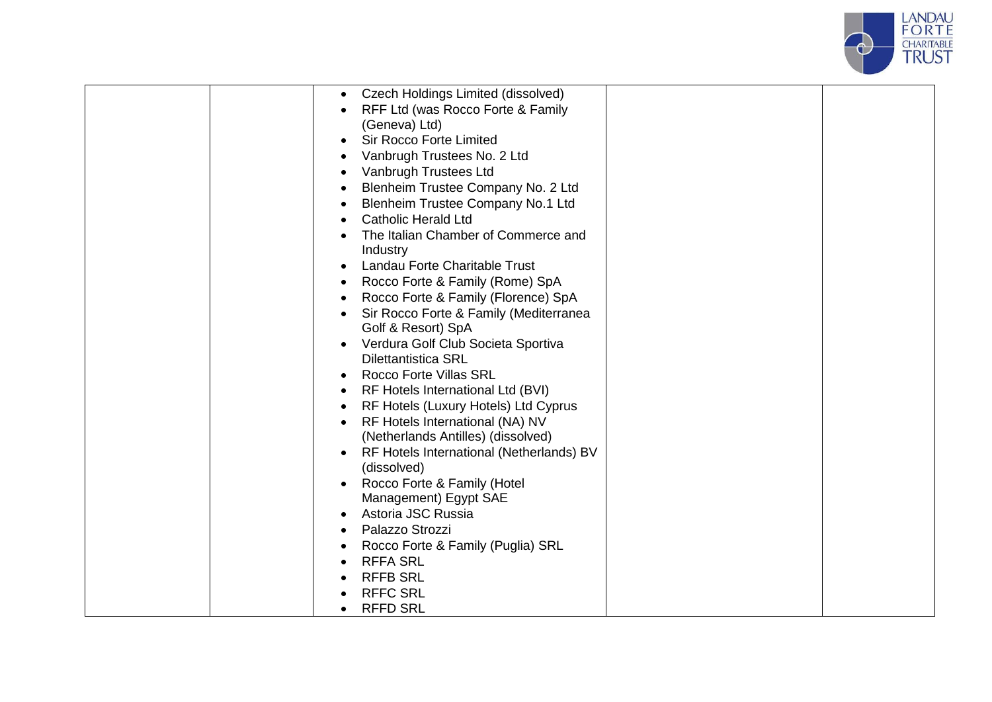

| Czech Holdings Limited (dissolved)<br>$\bullet$       |  |
|-------------------------------------------------------|--|
| RFF Ltd (was Rocco Forte & Family                     |  |
| (Geneva) Ltd)                                         |  |
| <b>Sir Rocco Forte Limited</b><br>$\bullet$           |  |
| Vanbrugh Trustees No. 2 Ltd                           |  |
| Vanbrugh Trustees Ltd                                 |  |
| Blenheim Trustee Company No. 2 Ltd                    |  |
| Blenheim Trustee Company No.1 Ltd                     |  |
| <b>Catholic Herald Ltd</b>                            |  |
| The Italian Chamber of Commerce and                   |  |
| Industry                                              |  |
| Landau Forte Charitable Trust                         |  |
| Rocco Forte & Family (Rome) SpA<br>$\bullet$          |  |
| Rocco Forte & Family (Florence) SpA                   |  |
| Sir Rocco Forte & Family (Mediterranea                |  |
| Golf & Resort) SpA                                    |  |
| Verdura Golf Club Societa Sportiva<br>٠               |  |
| <b>Dilettantistica SRL</b>                            |  |
| <b>Rocco Forte Villas SRL</b><br>$\bullet$            |  |
| RF Hotels International Ltd (BVI)                     |  |
| RF Hotels (Luxury Hotels) Ltd Cyprus<br>$\bullet$     |  |
| RF Hotels International (NA) NV<br>$\bullet$          |  |
| (Netherlands Antilles) (dissolved)                    |  |
| RF Hotels International (Netherlands) BV<br>$\bullet$ |  |
| (dissolved)                                           |  |
| Rocco Forte & Family (Hotel                           |  |
| Management) Egypt SAE                                 |  |
| Astoria JSC Russia                                    |  |
| Palazzo Strozzi                                       |  |
| Rocco Forte & Family (Puglia) SRL                     |  |
| <b>RFFA SRL</b>                                       |  |
| <b>RFFB SRL</b>                                       |  |
| <b>RFFC SRL</b>                                       |  |
| <b>RFFD SRL</b>                                       |  |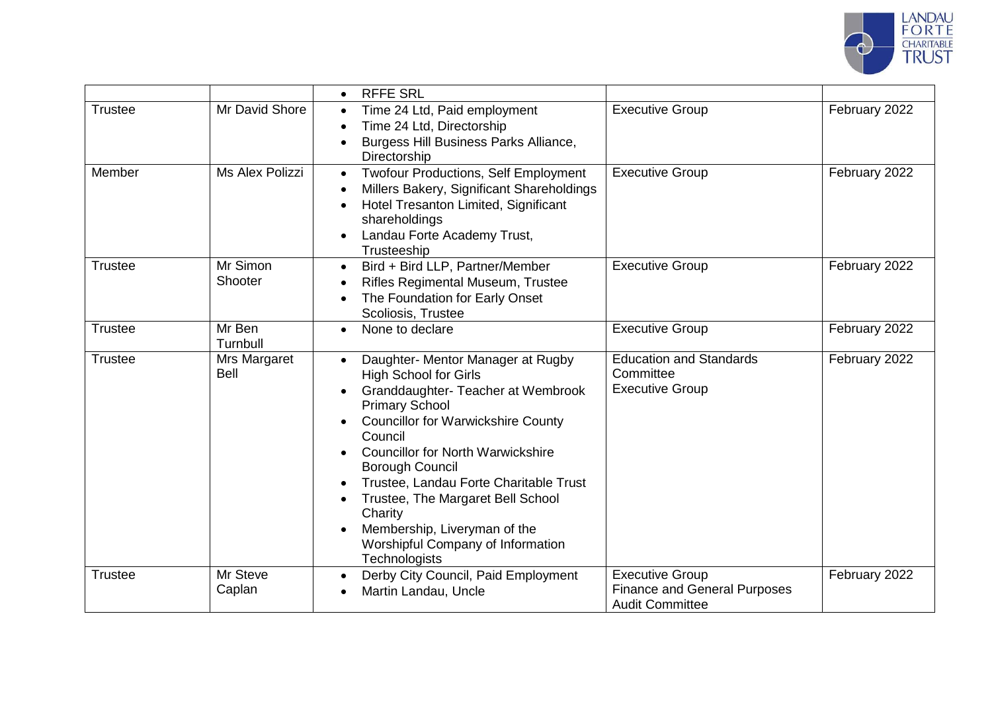

|                |                             | <b>RFFE SRL</b>                                                                                                                                                                                                                                                                                                                                                                                                                                       |                                                                                         |               |
|----------------|-----------------------------|-------------------------------------------------------------------------------------------------------------------------------------------------------------------------------------------------------------------------------------------------------------------------------------------------------------------------------------------------------------------------------------------------------------------------------------------------------|-----------------------------------------------------------------------------------------|---------------|
| <b>Trustee</b> | Mr David Shore              | Time 24 Ltd, Paid employment<br>Time 24 Ltd, Directorship<br>Burgess Hill Business Parks Alliance,<br>Directorship                                                                                                                                                                                                                                                                                                                                    | <b>Executive Group</b>                                                                  | February 2022 |
| Member         | Ms Alex Polizzi             | <b>Twofour Productions, Self Employment</b><br>$\bullet$<br>Millers Bakery, Significant Shareholdings<br>Hotel Tresanton Limited, Significant<br>shareholdings<br>Landau Forte Academy Trust,<br>$\bullet$<br>Trusteeship                                                                                                                                                                                                                             | <b>Executive Group</b>                                                                  | February 2022 |
| <b>Trustee</b> | Mr Simon<br>Shooter         | Bird + Bird LLP, Partner/Member<br>$\bullet$<br>Rifles Regimental Museum, Trustee<br>The Foundation for Early Onset<br>Scoliosis, Trustee                                                                                                                                                                                                                                                                                                             | <b>Executive Group</b>                                                                  | February 2022 |
| <b>Trustee</b> | Mr Ben<br>Turnbull          | None to declare<br>$\bullet$                                                                                                                                                                                                                                                                                                                                                                                                                          | <b>Executive Group</b>                                                                  | February 2022 |
| <b>Trustee</b> | Mrs Margaret<br><b>Bell</b> | Daughter- Mentor Manager at Rugby<br><b>High School for Girls</b><br>Granddaughter- Teacher at Wembrook<br><b>Primary School</b><br><b>Councillor for Warwickshire County</b><br>Council<br><b>Councillor for North Warwickshire</b><br><b>Borough Council</b><br>Trustee, Landau Forte Charitable Trust<br>Trustee, The Margaret Bell School<br>Charity<br>Membership, Liveryman of the<br>Worshipful Company of Information<br><b>Technologists</b> | <b>Education and Standards</b><br>Committee<br><b>Executive Group</b>                   | February 2022 |
| <b>Trustee</b> | Mr Steve<br>Caplan          | Derby City Council, Paid Employment<br>$\bullet$<br>Martin Landau, Uncle                                                                                                                                                                                                                                                                                                                                                                              | <b>Executive Group</b><br><b>Finance and General Purposes</b><br><b>Audit Committee</b> | February 2022 |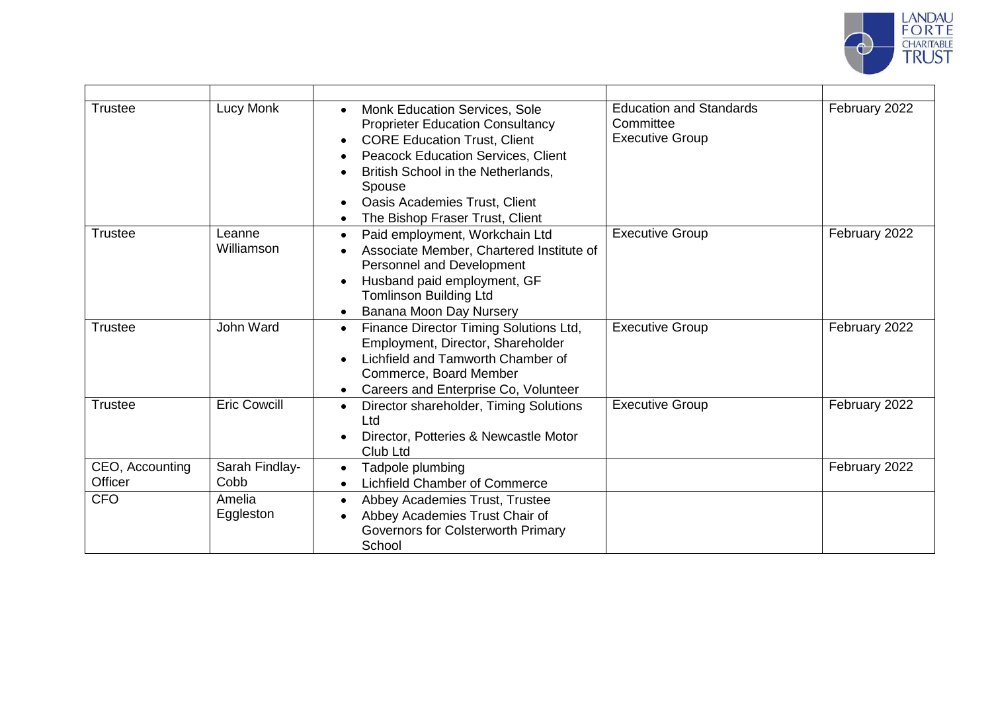

| <b>Trustee</b>             | Lucy Monk              | Monk Education Services, Sole<br><b>Proprieter Education Consultancy</b><br><b>CORE Education Trust, Client</b><br>$\bullet$<br><b>Peacock Education Services, Client</b><br>British School in the Netherlands,<br>Spouse<br><b>Oasis Academies Trust, Client</b><br>The Bishop Fraser Trust, Client | <b>Education and Standards</b><br>Committee<br><b>Executive Group</b> | February 2022 |
|----------------------------|------------------------|------------------------------------------------------------------------------------------------------------------------------------------------------------------------------------------------------------------------------------------------------------------------------------------------------|-----------------------------------------------------------------------|---------------|
| <b>Trustee</b>             | Leanne<br>Williamson   | Paid employment, Workchain Ltd<br>$\bullet$<br>Associate Member, Chartered Institute of<br>Personnel and Development<br>Husband paid employment, GF<br><b>Tomlinson Building Ltd</b><br>Banana Moon Day Nursery                                                                                      | <b>Executive Group</b>                                                | February 2022 |
| <b>Trustee</b>             | John Ward              | Finance Director Timing Solutions Ltd,<br>$\bullet$<br>Employment, Director, Shareholder<br>Lichfield and Tamworth Chamber of<br>Commerce, Board Member<br>Careers and Enterprise Co, Volunteer                                                                                                      | <b>Executive Group</b>                                                | February 2022 |
| <b>Trustee</b>             | <b>Eric Cowcill</b>    | Director shareholder, Timing Solutions<br>$\bullet$<br>Ltd<br>Director, Potteries & Newcastle Motor<br>Club Ltd                                                                                                                                                                                      | <b>Executive Group</b>                                                | February 2022 |
| CEO, Accounting<br>Officer | Sarah Findlay-<br>Cobb | Tadpole plumbing<br>$\bullet$<br>Lichfield Chamber of Commerce                                                                                                                                                                                                                                       |                                                                       | February 2022 |
| <b>CFO</b>                 | Amelia<br>Eggleston    | Abbey Academies Trust, Trustee<br>Abbey Academies Trust Chair of<br>Governors for Colsterworth Primary<br>School                                                                                                                                                                                     |                                                                       |               |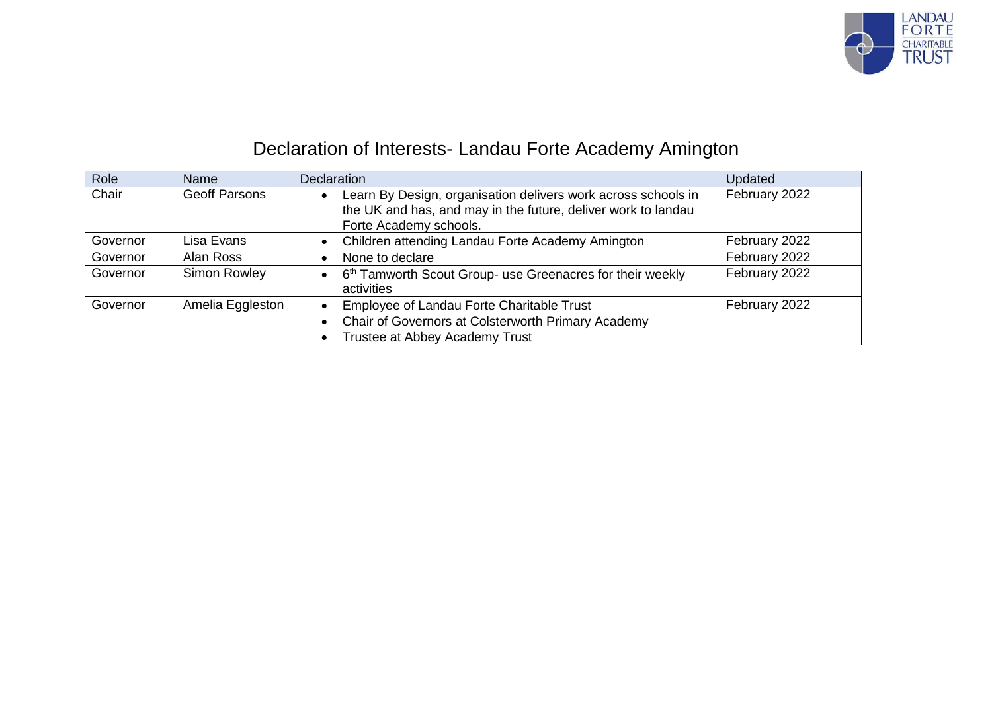

## Declaration of Interests- Landau Forte Academy Amington

| Role     | Name                 | Declaration                                                                                                                                              | Updated       |
|----------|----------------------|----------------------------------------------------------------------------------------------------------------------------------------------------------|---------------|
| Chair    | <b>Geoff Parsons</b> | Learn By Design, organisation delivers work across schools in<br>the UK and has, and may in the future, deliver work to landau<br>Forte Academy schools. | February 2022 |
| Governor | Lisa Evans           | Children attending Landau Forte Academy Amington                                                                                                         | February 2022 |
| Governor | Alan Ross            | None to declare                                                                                                                                          | February 2022 |
| Governor | Simon Rowley         | 6 <sup>th</sup> Tamworth Scout Group- use Greenacres for their weekly<br>$\bullet$<br>activities                                                         | February 2022 |
| Governor | Amelia Eggleston     | Employee of Landau Forte Charitable Trust                                                                                                                | February 2022 |
|          |                      | Chair of Governors at Colsterworth Primary Academy                                                                                                       |               |
|          |                      | Trustee at Abbey Academy Trust                                                                                                                           |               |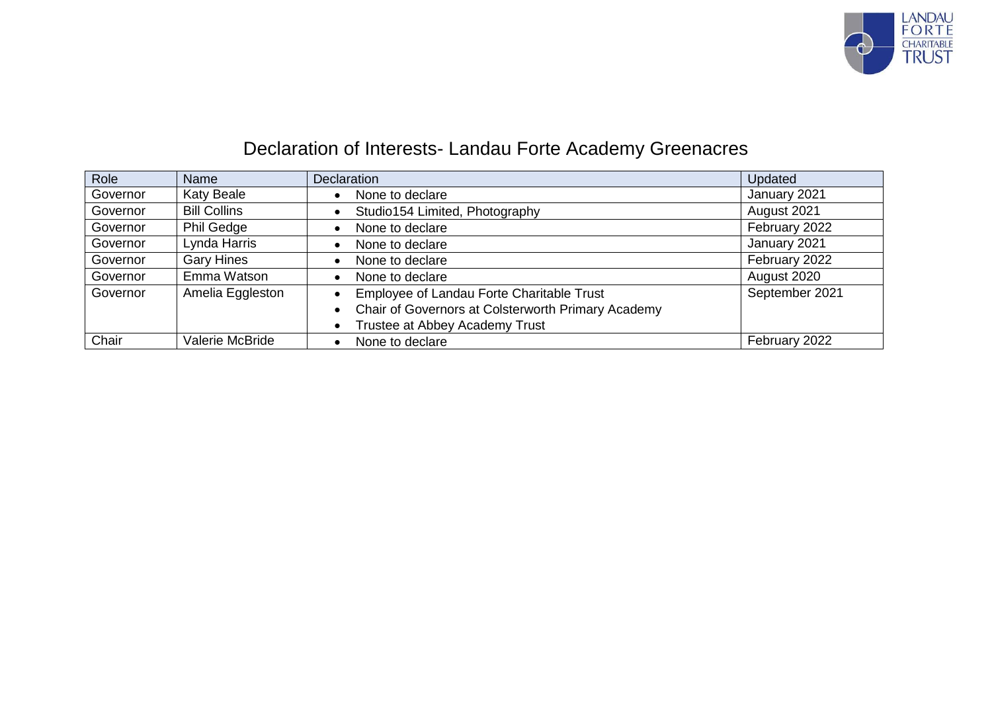

## Declaration of Interests- Landau Forte Academy Greenacres

| Role     | Name                | <b>Declaration</b>                                 | Updated        |
|----------|---------------------|----------------------------------------------------|----------------|
| Governor | <b>Katy Beale</b>   | None to declare                                    | January 2021   |
| Governor | <b>Bill Collins</b> | Studio154 Limited, Photography                     | August 2021    |
| Governor | <b>Phil Gedge</b>   | None to declare                                    | February 2022  |
| Governor | Lynda Harris        | None to declare                                    | January 2021   |
| Governor | <b>Gary Hines</b>   | None to declare                                    | February 2022  |
| Governor | Emma Watson         | None to declare                                    | August 2020    |
| Governor | Amelia Eggleston    | Employee of Landau Forte Charitable Trust          | September 2021 |
|          |                     | Chair of Governors at Colsterworth Primary Academy |                |
|          |                     | Trustee at Abbey Academy Trust                     |                |
| Chair    | Valerie McBride     | None to declare                                    | February 2022  |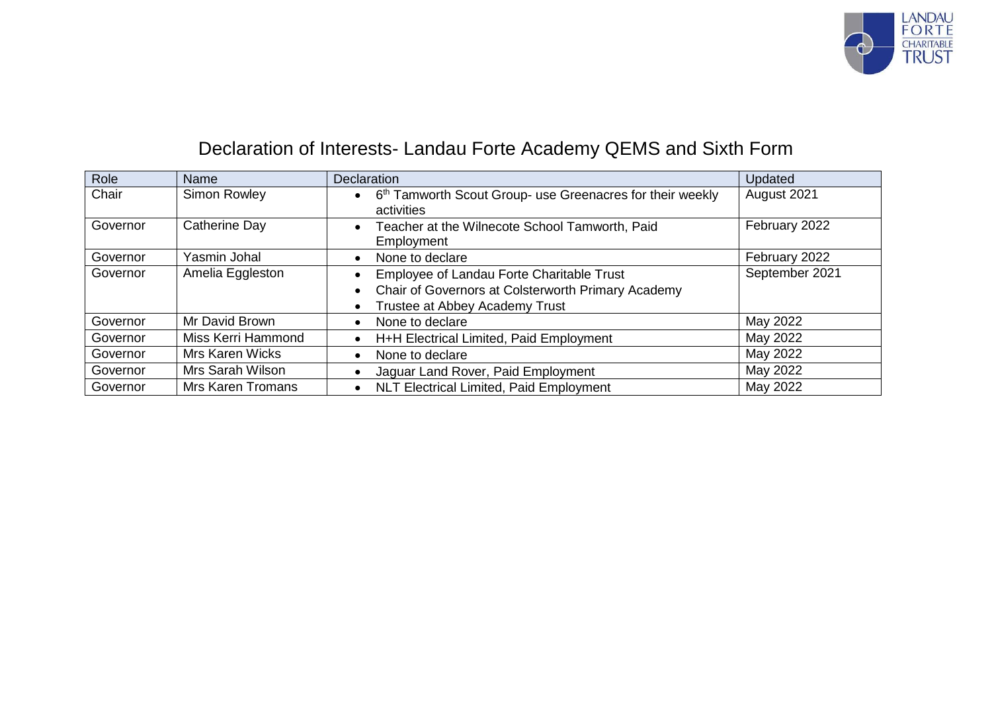

## Declaration of Interests- Landau Forte Academy QEMS and Sixth Form

| Role     | <b>Name</b>              | <b>Declaration</b>                                                                                                                                                       | Updated        |
|----------|--------------------------|--------------------------------------------------------------------------------------------------------------------------------------------------------------------------|----------------|
| Chair    | Simon Rowley             | 6 <sup>th</sup> Tamworth Scout Group- use Greenacres for their weekly<br>$\bullet$<br>activities                                                                         | August 2021    |
| Governor | <b>Catherine Day</b>     | Teacher at the Wilnecote School Tamworth, Paid<br>$\bullet$<br>Employment                                                                                                | February 2022  |
| Governor | Yasmin Johal             | None to declare<br>$\bullet$                                                                                                                                             | February 2022  |
| Governor | Amelia Eggleston         | Employee of Landau Forte Charitable Trust<br>$\bullet$<br>Chair of Governors at Colsterworth Primary Academy<br>$\bullet$<br>Trustee at Abbey Academy Trust<br>$\bullet$ | September 2021 |
| Governor | Mr David Brown           | None to declare<br>$\bullet$                                                                                                                                             | May 2022       |
| Governor | Miss Kerri Hammond       | H+H Electrical Limited, Paid Employment<br>$\bullet$                                                                                                                     | May 2022       |
| Governor | Mrs Karen Wicks          | None to declare<br>$\bullet$                                                                                                                                             | May 2022       |
| Governor | Mrs Sarah Wilson         | Jaguar Land Rover, Paid Employment                                                                                                                                       | May 2022       |
| Governor | <b>Mrs Karen Tromans</b> | <b>NLT Electrical Limited, Paid Employment</b><br>$\bullet$                                                                                                              | May 2022       |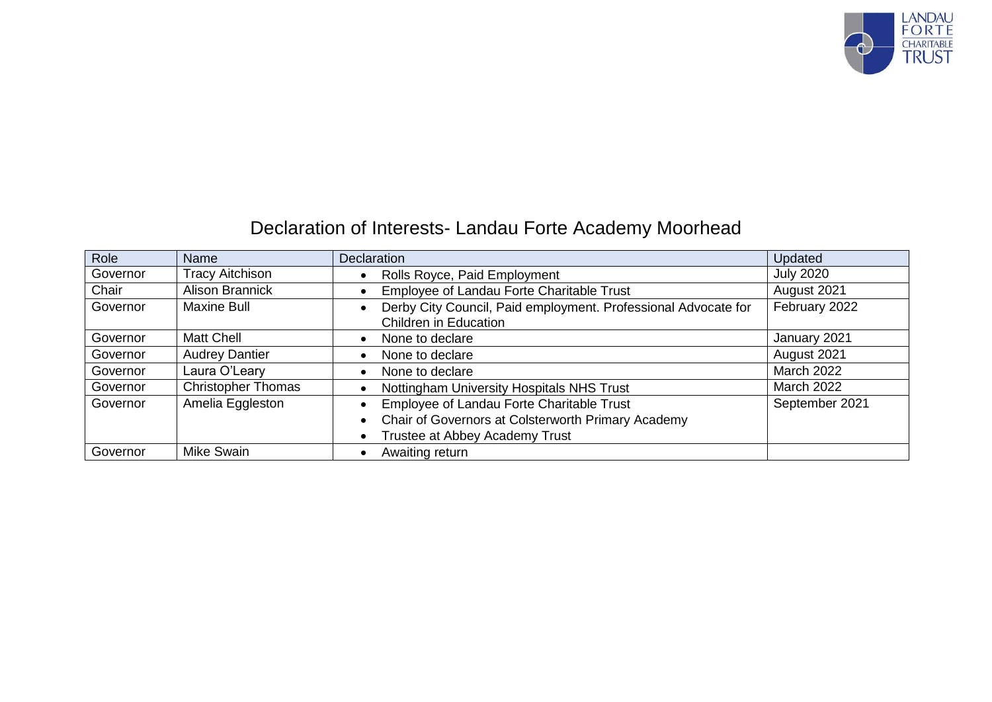

## Declaration of Interests- Landau Forte Academy Moorhead

| Role     | Name                      | <b>Declaration</b>                                                                             | Updated           |
|----------|---------------------------|------------------------------------------------------------------------------------------------|-------------------|
| Governor | <b>Tracy Aitchison</b>    | Rolls Royce, Paid Employment                                                                   | <b>July 2020</b>  |
| Chair    | <b>Alison Brannick</b>    | Employee of Landau Forte Charitable Trust                                                      | August 2021       |
| Governor | <b>Maxine Bull</b>        | Derby City Council, Paid employment. Professional Advocate for<br><b>Children in Education</b> | February 2022     |
| Governor | Matt Chell                | None to declare                                                                                | January 2021      |
| Governor | <b>Audrey Dantier</b>     | None to declare                                                                                | August 2021       |
| Governor | Laura O'Leary             | None to declare                                                                                | <b>March 2022</b> |
| Governor | <b>Christopher Thomas</b> | Nottingham University Hospitals NHS Trust                                                      | <b>March 2022</b> |
| Governor | Amelia Eggleston          | Employee of Landau Forte Charitable Trust                                                      | September 2021    |
|          |                           | Chair of Governors at Colsterworth Primary Academy                                             |                   |
|          |                           | Trustee at Abbey Academy Trust                                                                 |                   |
| Governor | Mike Swain                | Awaiting return                                                                                |                   |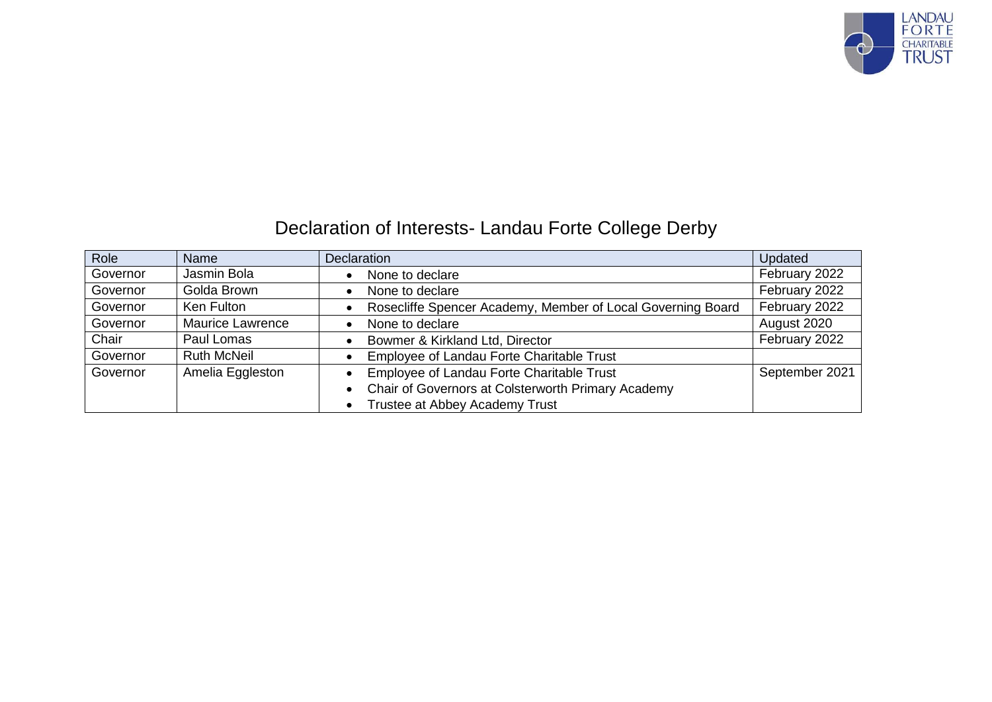

## Declaration of Interests- Landau Forte College Derby

| Role     | Name                    | <b>Declaration</b>                                          | Updated        |
|----------|-------------------------|-------------------------------------------------------------|----------------|
| Governor | Jasmin Bola             | None to declare                                             | February 2022  |
| Governor | Golda Brown             | None to declare                                             | February 2022  |
| Governor | Ken Fulton              | Rosecliffe Spencer Academy, Member of Local Governing Board | February 2022  |
| Governor | <b>Maurice Lawrence</b> | None to declare                                             | August 2020    |
| Chair    | Paul Lomas              | Bowmer & Kirkland Ltd, Director                             | February 2022  |
| Governor | <b>Ruth McNeil</b>      | Employee of Landau Forte Charitable Trust                   |                |
| Governor | Amelia Eggleston        | Employee of Landau Forte Charitable Trust                   | September 2021 |
|          |                         | Chair of Governors at Colsterworth Primary Academy          |                |
|          |                         | Trustee at Abbey Academy Trust<br>$\bullet$                 |                |